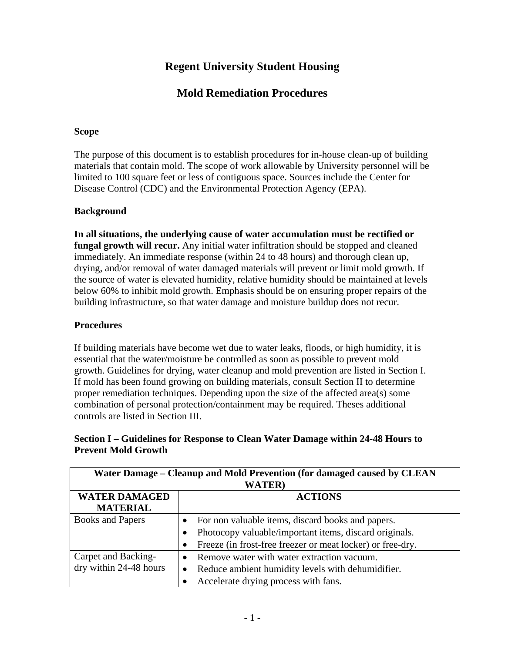# **Regent University Student Housing**

## **Mold Remediation Procedures**

#### **Scope**

The purpose of this document is to establish procedures for in-house clean-up of building materials that contain mold. The scope of work allowable by University personnel will be limited to 100 square feet or less of contiguous space. Sources include the Center for Disease Control (CDC) and the Environmental Protection Agency (EPA).

#### **Background**

**In all situations, the underlying cause of water accumulation must be rectified or fungal growth will recur.** Any initial water infiltration should be stopped and cleaned immediately. An immediate response (within 24 to 48 hours) and thorough clean up, drying, and/or removal of water damaged materials will prevent or limit mold growth. If the source of water is elevated humidity, relative humidity should be maintained at levels below 60% to inhibit mold growth. Emphasis should be on ensuring proper repairs of the building infrastructure, so that water damage and moisture buildup does not recur.

#### **Procedures**

If building materials have become wet due to water leaks, floods, or high humidity, it is essential that the water/moisture be controlled as soon as possible to prevent mold growth. Guidelines for drying, water cleanup and mold prevention are listed in Section I. If mold has been found growing on building materials, consult Section II to determine proper remediation techniques. Depending upon the size of the affected area(s) some combination of personal protection/containment may be required. Theses additional controls are listed in Section III.

#### **Section I – Guidelines for Response to Clean Water Damage within 24-48 Hours to Prevent Mold Growth**

| Water Damage – Cleanup and Mold Prevention (for damaged caused by CLEAN<br><b>WATER</b> ) |                                                                |  |
|-------------------------------------------------------------------------------------------|----------------------------------------------------------------|--|
| <b>WATER DAMAGED</b>                                                                      | <b>ACTIONS</b>                                                 |  |
| <b>MATERIAL</b>                                                                           |                                                                |  |
| <b>Books and Papers</b>                                                                   | For non valuable items, discard books and papers.              |  |
|                                                                                           | Photocopy valuable/important items, discard originals.         |  |
|                                                                                           | Freeze (in frost-free freezer or meat locker) or free-dry.     |  |
| Carpet and Backing-                                                                       | Remove water with water extraction vacuum.                     |  |
| dry within 24-48 hours                                                                    | Reduce ambient humidity levels with dehumidifier.<br>$\bullet$ |  |
|                                                                                           | Accelerate drying process with fans.                           |  |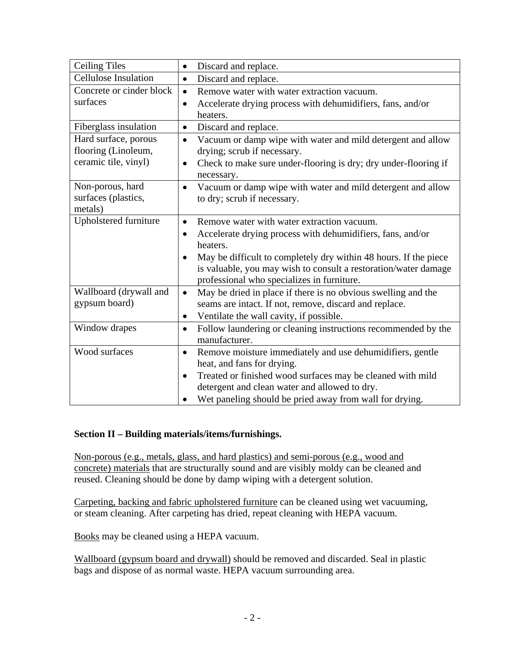| <b>Ceiling Tiles</b>        | Discard and replace.<br>$\bullet$                                                                             |
|-----------------------------|---------------------------------------------------------------------------------------------------------------|
| <b>Cellulose Insulation</b> | Discard and replace.<br>$\bullet$                                                                             |
| Concrete or cinder block    | Remove water with water extraction vacuum.<br>$\bullet$                                                       |
| surfaces                    | Accelerate drying process with dehumidifiers, fans, and/or<br>$\bullet$                                       |
|                             | heaters.                                                                                                      |
| Fiberglass insulation       | Discard and replace.<br>$\bullet$                                                                             |
| Hard surface, porous        | Vacuum or damp wipe with water and mild detergent and allow<br>$\bullet$                                      |
| flooring (Linoleum,         | drying; scrub if necessary.                                                                                   |
| ceramic tile, vinyl)        | Check to make sure under-flooring is dry; dry under-flooring if<br>$\bullet$                                  |
|                             | necessary.                                                                                                    |
| Non-porous, hard            | Vacuum or damp wipe with water and mild detergent and allow<br>$\bullet$                                      |
| surfaces (plastics,         | to dry; scrub if necessary.                                                                                   |
| metals)                     |                                                                                                               |
| Upholstered furniture       | Remove water with water extraction vacuum.<br>$\bullet$                                                       |
|                             | Accelerate drying process with dehumidifiers, fans, and/or<br>٠                                               |
|                             | heaters.                                                                                                      |
|                             | May be difficult to completely dry within 48 hours. If the piece                                              |
|                             | is valuable, you may wish to consult a restoration/water damage<br>professional who specializes in furniture. |
| Wallboard (drywall and      | May be dried in place if there is no obvious swelling and the<br>$\bullet$                                    |
| gypsum board)               | seams are intact. If not, remove, discard and replace.                                                        |
|                             | Ventilate the wall cavity, if possible.<br>$\bullet$                                                          |
| Window drapes               | Follow laundering or cleaning instructions recommended by the<br>$\bullet$<br>manufacturer.                   |
| Wood surfaces               | Remove moisture immediately and use dehumidifiers, gentle<br>$\bullet$                                        |
|                             | heat, and fans for drying.                                                                                    |
|                             | Treated or finished wood surfaces may be cleaned with mild<br>$\bullet$                                       |
|                             | detergent and clean water and allowed to dry.                                                                 |
|                             | Wet paneling should be pried away from wall for drying.                                                       |

## **Section II – Building materials/items/furnishings.**

Non-porous (e.g., metals, glass, and hard plastics) and semi-porous (e.g., wood and concrete) materials that are structurally sound and are visibly moldy can be cleaned and reused. Cleaning should be done by damp wiping with a detergent solution.

Carpeting, backing and fabric upholstered furniture can be cleaned using wet vacuuming, or steam cleaning. After carpeting has dried, repeat cleaning with HEPA vacuum.

Books may be cleaned using a HEPA vacuum.

Wallboard (gypsum board and drywall) should be removed and discarded. Seal in plastic bags and dispose of as normal waste. HEPA vacuum surrounding area.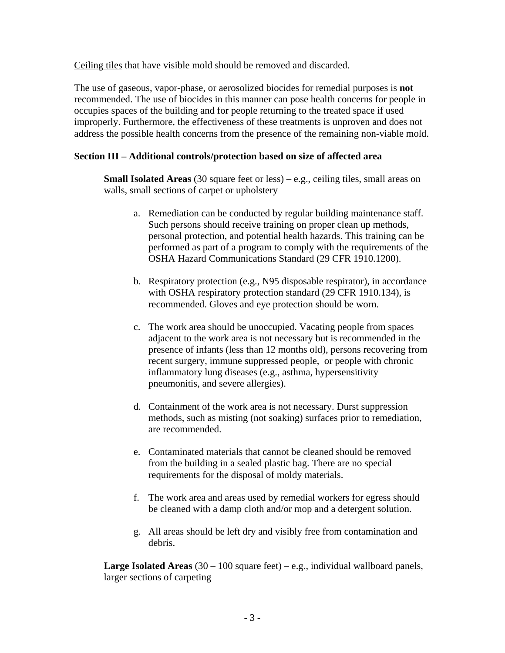Ceiling tiles that have visible mold should be removed and discarded.

The use of gaseous, vapor-phase, or aerosolized biocides for remedial purposes is **not**  recommended. The use of biocides in this manner can pose health concerns for people in occupies spaces of the building and for people returning to the treated space if used improperly. Furthermore, the effectiveness of these treatments is unproven and does not address the possible health concerns from the presence of the remaining non-viable mold.

## **Section III – Additional controls/protection based on size of affected area**

**Small Isolated Areas** (30 square feet or less) – e.g., ceiling tiles, small areas on walls, small sections of carpet or upholstery

- a. Remediation can be conducted by regular building maintenance staff. Such persons should receive training on proper clean up methods, personal protection, and potential health hazards. This training can be performed as part of a program to comply with the requirements of the OSHA Hazard Communications Standard (29 CFR 1910.1200).
- b. Respiratory protection (e.g., N95 disposable respirator), in accordance with OSHA respiratory protection standard (29 CFR 1910.134), is recommended. Gloves and eye protection should be worn.
- c. The work area should be unoccupied. Vacating people from spaces adjacent to the work area is not necessary but is recommended in the presence of infants (less than 12 months old), persons recovering from recent surgery, immune suppressed people, or people with chronic inflammatory lung diseases (e.g., asthma, hypersensitivity pneumonitis, and severe allergies).
- d. Containment of the work area is not necessary. Durst suppression methods, such as misting (not soaking) surfaces prior to remediation, are recommended.
- e. Contaminated materials that cannot be cleaned should be removed from the building in a sealed plastic bag. There are no special requirements for the disposal of moldy materials.
- f. The work area and areas used by remedial workers for egress should be cleaned with a damp cloth and/or mop and a detergent solution.
- g. All areas should be left dry and visibly free from contamination and debris.

**Large Isolated Areas** (30 – 100 square feet) – e.g., individual wallboard panels, larger sections of carpeting